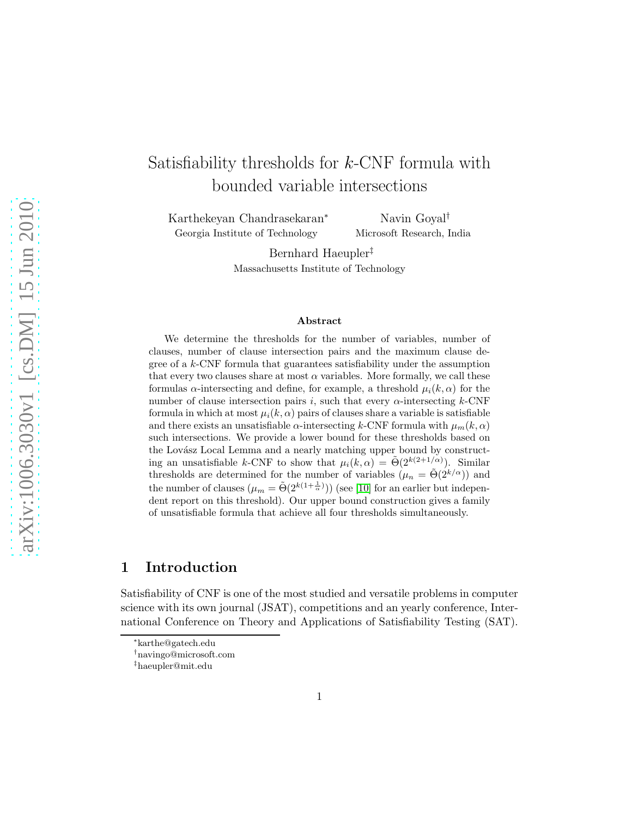# Satisfiability thresholds for  $k$ -CNF formula with bounded variable intersections

Karthekeyan Chandrasekaran<sup>∗</sup> Georgia Institute of Technology

Navin Goyal† Microsoft Research, India

Bernhard Haeupler‡ Massachusetts Institute of Technology

#### Abstract

We determine the thresholds for the number of variables, number of clauses, number of clause intersection pairs and the maximum clause degree of a k-CNF formula that guarantees satisfiability under the assumption that every two clauses share at most  $\alpha$  variables. More formally, we call these formulas  $\alpha$ -intersecting and define, for example, a threshold  $\mu_i(k, \alpha)$  for the number of clause intersection pairs i, such that every  $\alpha$ -intersecting k-CNF formula in which at most  $\mu_i(k, \alpha)$  pairs of clauses share a variable is satisfiable and there exists an unsatisfiable  $\alpha$ -intersecting k-CNF formula with  $\mu_m(k, \alpha)$ such intersections. We provide a lower bound for these thresholds based on the Lovász Local Lemma and a nearly matching upper bound by constructing an unsatisfiable k-CNF to show that  $\mu_i(k,\alpha) = \tilde{\Theta}(2^{k(2+1/\alpha)})$ . Similar thresholds are determined for the number of variables  $(\mu_n = \tilde{\Theta}(2^{k/\alpha}))$  and the number of clauses  $(\mu_m = \tilde{\Theta}(2^{k(1+\frac{1}{\alpha})}))$  (see [\[10\]](#page-10-0) for an earlier but independent report on this threshold). Our upper bound construction gives a family of unsatisfiable formula that achieve all four thresholds simultaneously.

# 1 Introduction

Satisfiability of CNF is one of the most studied and versatile problems in computer science with its own journal (JSAT), competitions and an yearly conference, International Conference on Theory and Applications of Satisfiability Testing (SAT).

<sup>∗</sup> karthe@gatech.edu

<sup>†</sup>navingo@microsoft.com

<sup>‡</sup> haeupler@mit.edu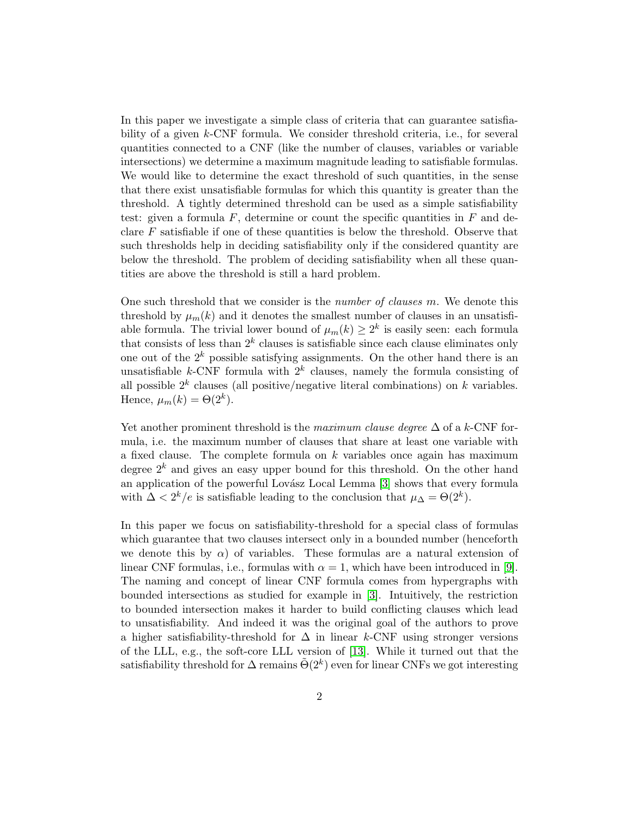In this paper we investigate a simple class of criteria that can guarantee satisfiability of a given k-CNF formula. We consider threshold criteria, i.e., for several quantities connected to a CNF (like the number of clauses, variables or variable intersections) we determine a maximum magnitude leading to satisfiable formulas. We would like to determine the exact threshold of such quantities, in the sense that there exist unsatisfiable formulas for which this quantity is greater than the threshold. A tightly determined threshold can be used as a simple satisfiability test: given a formula  $F$ , determine or count the specific quantities in  $F$  and declare  $F$  satisfiable if one of these quantities is below the threshold. Observe that such thresholds help in deciding satisfiability only if the considered quantity are below the threshold. The problem of deciding satisfiability when all these quantities are above the threshold is still a hard problem.

One such threshold that we consider is the number of clauses m. We denote this threshold by  $\mu_m(k)$  and it denotes the smallest number of clauses in an unsatisfiable formula. The trivial lower bound of  $\mu_m(k) \geq 2^k$  is easily seen: each formula that consists of less than  $2^k$  clauses is satisfiable since each clause eliminates only one out of the  $2^k$  possible satisfying assignments. On the other hand there is an unsatisfiable  $k$ -CNF formula with  $2^k$  clauses, namely the formula consisting of all possible  $2^k$  clauses (all positive/negative literal combinations) on k variables. Hence,  $\mu_m(k) = \Theta(2^k)$ .

Yet another prominent threshold is the maximum clause degree  $\Delta$  of a k-CNF formula, i.e. the maximum number of clauses that share at least one variable with a fixed clause. The complete formula on  $k$  variables once again has maximum degree  $2^k$  and gives an easy upper bound for this threshold. On the other hand an application of the powerful Lovász Local Lemma [\[3\]](#page-9-0) shows that every formula with  $\Delta < 2^k/e$  is satisfiable leading to the conclusion that  $\mu_{\Delta} = \Theta(2^k)$ .

In this paper we focus on satisfiability-threshold for a special class of formulas which guarantee that two clauses intersect only in a bounded number (henceforth we denote this by  $\alpha$ ) of variables. These formulas are a natural extension of linear CNF formulas, i.e., formulas with  $\alpha = 1$ , which have been introduced in [\[9\]](#page-10-1). The naming and concept of linear CNF formula comes from hypergraphs with bounded intersections as studied for example in [\[3\]](#page-9-0). Intuitively, the restriction to bounded intersection makes it harder to build conflicting clauses which lead to unsatisfiability. And indeed it was the original goal of the authors to prove a higher satisfiability-threshold for  $\Delta$  in linear k-CNF using stronger versions of the LLL, e.g., the soft-core LLL version of [\[13\]](#page-10-2). While it turned out that the satisfiability threshold for  $\Delta$  remains  $\tilde{\Theta}(2^k)$  even for linear CNFs we got interesting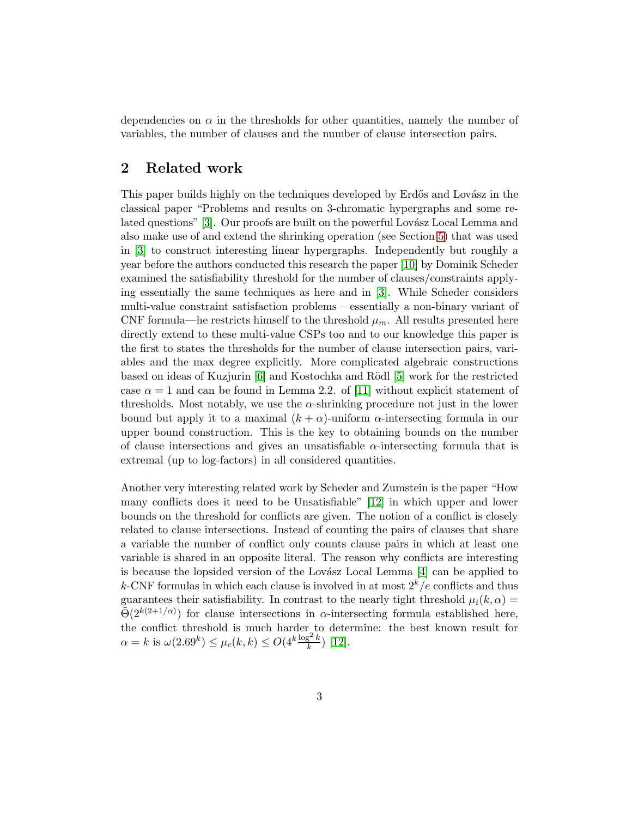dependencies on  $\alpha$  in the thresholds for other quantities, namely the number of variables, the number of clauses and the number of clause intersection pairs.

### 2 Related work

This paper builds highly on the techniques developed by Erdős and Lovász in the classical paper "Problems and results on 3-chromatic hypergraphs and some re-lated questions" [\[3\]](#page-9-0). Our proofs are built on the powerful Lovász Local Lemma and also make use of and extend the shrinking operation (see Section [5\)](#page-5-0) that was used in [\[3\]](#page-9-0) to construct interesting linear hypergraphs. Independently but roughly a year before the authors conducted this research the paper [\[10\]](#page-10-0) by Dominik Scheder examined the satisfiability threshold for the number of clauses/constraints applying essentially the same techniques as here and in [\[3\]](#page-9-0). While Scheder considers multi-value constraint satisfaction problems – essentially a non-binary variant of CNF formula—he restricts himself to the threshold  $\mu_m$ . All results presented here directly extend to these multi-value CSPs too and to our knowledge this paper is the first to states the thresholds for the number of clause intersection pairs, variables and the max degree explicitly. More complicated algebraic constructions based on ideas of Kuzjurin  $[6]$  and Kostochka and Rödl  $[5]$  work for the restricted case  $\alpha = 1$  and can be found in Lemma 2.2. of [\[11\]](#page-10-3) without explicit statement of thresholds. Most notably, we use the  $\alpha$ -shrinking procedure not just in the lower bound but apply it to a maximal  $(k + \alpha)$ -uniform  $\alpha$ -intersecting formula in our upper bound construction. This is the key to obtaining bounds on the number of clause intersections and gives an unsatisfiable  $\alpha$ -intersecting formula that is extremal (up to log-factors) in all considered quantities.

Another very interesting related work by Scheder and Zumstein is the paper "How many conflicts does it need to be Unsatisfiable" [\[12\]](#page-10-4) in which upper and lower bounds on the threshold for conflicts are given. The notion of a conflict is closely related to clause intersections. Instead of counting the pairs of clauses that share a variable the number of conflict only counts clause pairs in which at least one variable is shared in an opposite literal. The reason why conflicts are interesting is because the lopsided version of the Lovász Local Lemma  $[4]$  can be applied to k-CNF formulas in which each clause is involved in at most  $2^k/e$  conflicts and thus guarantees their satisfiability. In contrast to the nearly tight threshold  $\mu_i(k, \alpha) =$  $\tilde{\Theta}(2^{k(2+1/\alpha)})$  for clause intersections in  $\alpha$ -intersecting formula established here, the conflict threshold is much harder to determine: the best known result for  $\alpha = k$  is  $\omega(2.69^k) \le \mu_c(k, k) \le O(4^k \frac{\log^2 k}{k})$  [\[12\]](#page-10-4).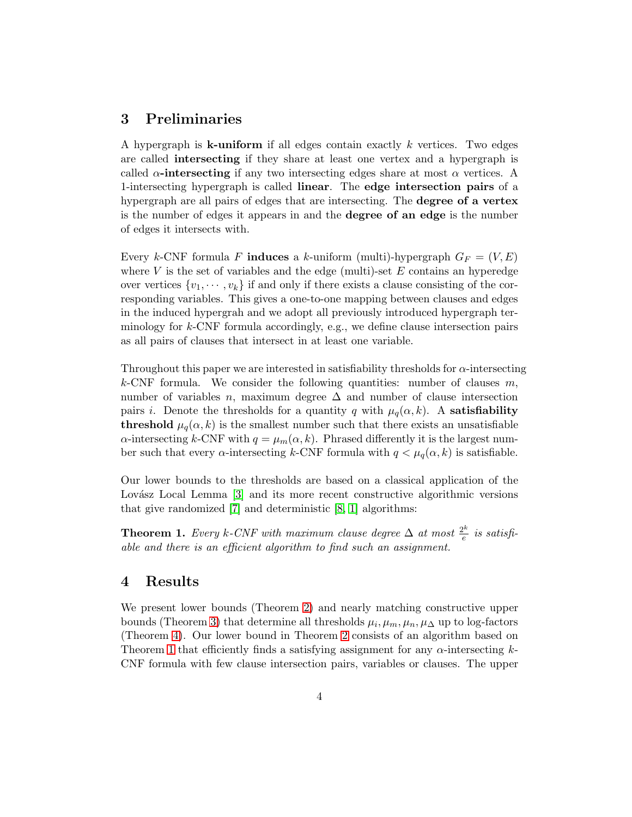# 3 Preliminaries

A hypergraph is **k-uniform** if all edges contain exactly  $k$  vertices. Two edges are called intersecting if they share at least one vertex and a hypergraph is called  $\alpha$ -intersecting if any two intersecting edges share at most  $\alpha$  vertices. A 1-intersecting hypergraph is called linear. The edge intersection pairs of a hypergraph are all pairs of edges that are intersecting. The degree of a vertex is the number of edges it appears in and the degree of an edge is the number of edges it intersects with.

Every k-CNF formula F induces a k-uniform (multi)-hypergraph  $G_F = (V, E)$ where  $V$  is the set of variables and the edge (multi)-set  $E$  contains an hyperedge over vertices  $\{v_1, \dots, v_k\}$  if and only if there exists a clause consisting of the corresponding variables. This gives a one-to-one mapping between clauses and edges in the induced hypergrah and we adopt all previously introduced hypergraph terminology for  $k$ -CNF formula accordingly, e.g., we define clause intersection pairs as all pairs of clauses that intersect in at least one variable.

Throughout this paper we are interested in satisfiability thresholds for  $\alpha$ -intersecting k-CNF formula. We consider the following quantities: number of clauses  $m$ , number of variables n, maximum degree  $\Delta$  and number of clause intersection pairs *i*. Denote the thresholds for a quantity q with  $\mu_q(\alpha, k)$ . A **satisfiability** threshold  $\mu_q(\alpha, k)$  is the smallest number such that there exists an unsatisfiable  $\alpha$ -intersecting k-CNF with  $q = \mu_m(\alpha, k)$ . Phrased differently it is the largest number such that every  $\alpha$ -intersecting k-CNF formula with  $q < \mu_q(\alpha, k)$  is satisfiable.

Our lower bounds to the thresholds are based on a classical application of the Lovász Local Lemma [\[3\]](#page-9-0) and its more recent constructive algorithmic versions that give randomized [\[7\]](#page-9-4) and deterministic [\[8,](#page-10-5) [1\]](#page-9-5) algorithms:

<span id="page-3-0"></span>**Theorem 1.** Every k-CNF with maximum clause degree  $\Delta$  at most  $\frac{2^k}{e}$  $\frac{m}{e}$  is satisfiable and there is an efficient algorithm to find such an assignment.

### 4 Results

We present lower bounds (Theorem [2\)](#page-4-0) and nearly matching constructive upper bounds (Theorem [3\)](#page-4-1) that determine all thresholds  $\mu_i, \mu_m, \mu_n, \mu_\Delta$  up to log-factors (Theorem [4\)](#page-4-2). Our lower bound in Theorem [2](#page-4-0) consists of an algorithm based on Theorem [1](#page-3-0) that efficiently finds a satisfying assignment for any  $\alpha$ -intersecting k-CNF formula with few clause intersection pairs, variables or clauses. The upper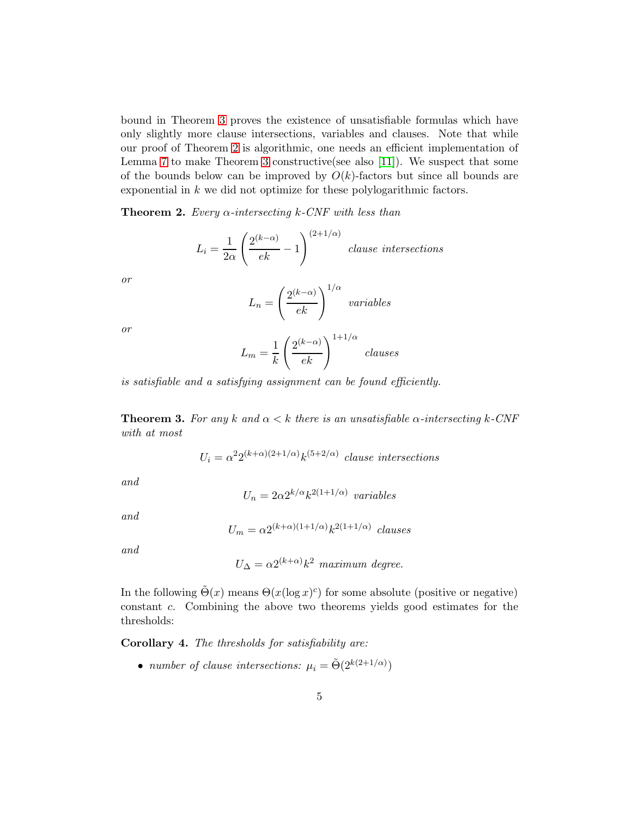bound in Theorem [3](#page-4-1) proves the existence of unsatisfiable formulas which have only slightly more clause intersections, variables and clauses. Note that while our proof of Theorem [2](#page-4-0) is algorithmic, one needs an efficient implementation of Lemma [7](#page-7-0) to make Theorem [3](#page-4-1) constructive(see also [\[11\]](#page-10-3)). We suspect that some of the bounds below can be improved by  $O(k)$ -factors but since all bounds are exponential in k we did not optimize for these polylogarithmic factors.

<span id="page-4-0"></span>**Theorem 2.** Every  $\alpha$ -intersecting k-CNF with less than

$$
L_i = \frac{1}{2\alpha} \left( \frac{2^{(k-\alpha)}}{ek} - 1 \right)^{(2+1/\alpha)}
$$
 clause intersections

or

$$
L_n = \left(\frac{2^{(k-\alpha)}}{ek}\right)^{1/\alpha} \text{ variables}
$$

or

$$
L_m = \frac{1}{k} \left( \frac{2^{(k-\alpha)}}{ek} \right)^{1+1/\alpha} \text{ clauses}
$$

<span id="page-4-1"></span>is satisfiable and a satisfying assignment can be found efficiently.

**Theorem 3.** For any k and  $\alpha < k$  there is an unsatisfiable  $\alpha$ -intersecting k-CNF with at most

$$
U_i = \alpha^2 2^{(k+\alpha)(2+1/\alpha)} k^{(5+2/\alpha)}
$$
 clause intersections

and

$$
U_n = 2\alpha 2^{k/\alpha} k^{2(1+1/\alpha)} \quad variables
$$

and

$$
U_m = \alpha 2^{(k+\alpha)(1+1/\alpha)} k^{2(1+1/\alpha)} \; clauses
$$

and

$$
U_{\Delta} = \alpha 2^{(k+\alpha)} k^2 \text{ maximum degree.}
$$

In the following  $\tilde{\Theta}(x)$  means  $\Theta(x(\log x)^c)$  for some absolute (positive or negative) constant c. Combining the above two theorems yields good estimates for the thresholds:

<span id="page-4-2"></span>Corollary 4. The thresholds for satisfiability are:

• number of clause intersections:  $\mu_i = \tilde{\Theta}(2^{k(2+1/\alpha)})$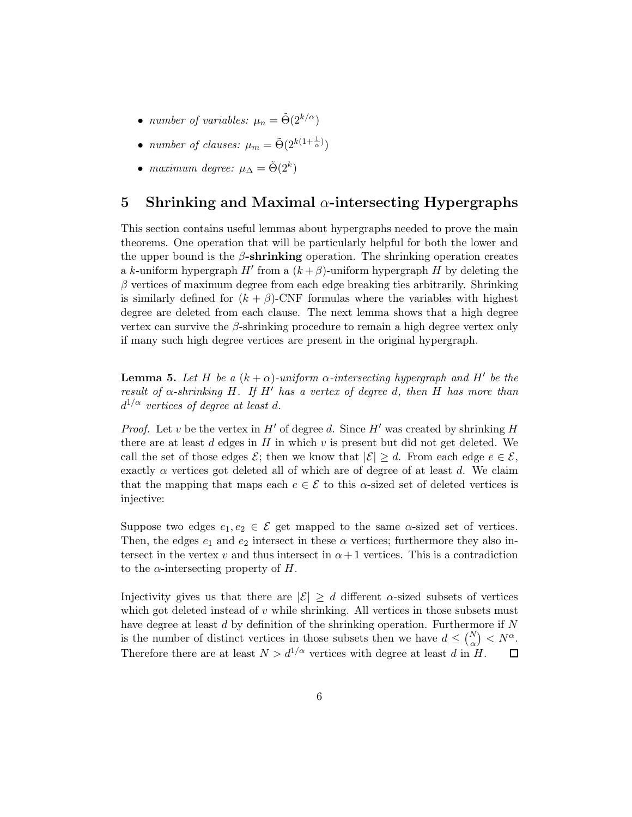- number of variables:  $\mu_n = \tilde{\Theta}(2^{k/\alpha})$
- number of clauses:  $\mu_m = \tilde{\Theta}(2^{k(1+\frac{1}{\alpha})})$
- maximum degree:  $\mu_{\Delta} = \tilde{\Theta}(2^k)$

## <span id="page-5-0"></span>5 Shrinking and Maximal  $\alpha$ -intersecting Hypergraphs

This section contains useful lemmas about hypergraphs needed to prove the main theorems. One operation that will be particularly helpful for both the lower and the upper bound is the  $\beta$ -shrinking operation. The shrinking operation creates a k-uniform hypergraph  $H'$  from a  $(k+\beta)$ -uniform hypergraph H by deleting the  $\beta$  vertices of maximum degree from each edge breaking ties arbitrarily. Shrinking is similarly defined for  $(k + \beta)$ -CNF formulas where the variables with highest degree are deleted from each clause. The next lemma shows that a high degree vertex can survive the  $\beta$ -shrinking procedure to remain a high degree vertex only if many such high degree vertices are present in the original hypergraph.

<span id="page-5-1"></span>**Lemma 5.** Let H be a  $(k + \alpha)$ -uniform  $\alpha$ -intersecting hypergraph and H' be the result of  $\alpha$ -shrinking H. If H' has a vertex of degree d, then H has more than  $d^{1/\alpha}$  vertices of degree at least d.

*Proof.* Let v be the vertex in  $H'$  of degree d. Since  $H'$  was created by shrinking H there are at least  $d$  edges in  $H$  in which  $v$  is present but did not get deleted. We call the set of those edges  $\mathcal{E}$ ; then we know that  $|\mathcal{E}| \geq d$ . From each edge  $e \in \mathcal{E}$ , exactly  $\alpha$  vertices got deleted all of which are of degree of at least d. We claim that the mapping that maps each  $e \in \mathcal{E}$  to this  $\alpha$ -sized set of deleted vertices is injective:

Suppose two edges  $e_1, e_2 \in \mathcal{E}$  get mapped to the same  $\alpha$ -sized set of vertices. Then, the edges  $e_1$  and  $e_2$  intersect in these  $\alpha$  vertices; furthermore they also intersect in the vertex v and thus intersect in  $\alpha+1$  vertices. This is a contradiction to the  $\alpha$ -intersecting property of H.

Injectivity gives us that there are  $|\mathcal{E}| \geq d$  different  $\alpha$ -sized subsets of vertices which got deleted instead of  $v$  while shrinking. All vertices in those subsets must have degree at least d by definition of the shrinking operation. Furthermore if N is the number of distinct vertices in those subsets then we have  $d \leq {N \choose \alpha} < N^{\alpha}$ . Therefore there are at least  $N > d^{1/\alpha}$  vertices with degree at least d in H. □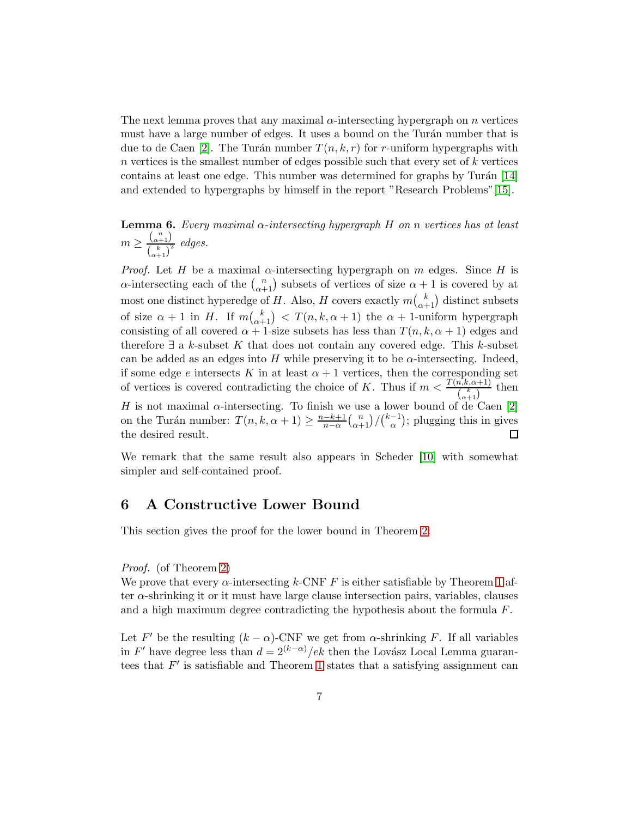The next lemma proves that any maximal  $\alpha$ -intersecting hypergraph on n vertices must have a large number of edges. It uses a bound on the Turán number that is due to de Caen [\[2\]](#page-9-6). The Turán number  $T(n, k, r)$  for r-uniform hypergraphs with  $n$  vertices is the smallest number of edges possible such that every set of  $k$  vertices contains at least one edge. This number was determined for graphs by Turán  $[14]$ and extended to hypergraphs by himself in the report "Research Problems"[\[15\]](#page-10-7).

<span id="page-6-0"></span>**Lemma 6.** Every maximal  $\alpha$ -intersecting hypergraph H on n vertices has at least  $m \geq \frac{\binom{n}{\alpha+1}}{\binom{k}{\alpha+1}}$  $\frac{(\alpha+1)}{(\alpha+1)^2}$  edges.

*Proof.* Let H be a maximal  $\alpha$ -intersecting hypergraph on m edges. Since H is  $\alpha$ -intersecting each of the  $\binom{n}{\alpha+1}$  subsets of vertices of size  $\alpha+1$  is covered by at most one distinct hyperedge of H. Also, H covers exactly  $m\binom{k}{\alpha+1}$  distinct subsets of size  $\alpha + 1$  in H. If  $m\binom{k}{\alpha+1} < T(n, k, \alpha + 1)$  the  $\alpha + 1$ -uniform hypergraph consisting of all covered  $\alpha + 1$ -size subsets has less than  $T(n, k, \alpha + 1)$  edges and therefore  $\exists$  a k-subset K that does not contain any covered edge. This k-subset can be added as an edges into H while preserving it to be  $\alpha$ -intersecting. Indeed, if some edge e intersects K in at least  $\alpha + 1$  vertices, then the corresponding set of vertices is covered contradicting the choice of K. Thus if  $m < \frac{T(n,k,\alpha+1)}{\binom{k}{\alpha+1}}$  then H is not maximal  $\alpha$ -intersecting. To finish we use a lower bound of de Caen [\[2\]](#page-9-6) on the Turán number:  $T(n, k, \alpha + 1) \geq \frac{n-k+1}{n-\alpha}$  $\frac{-k+1}{n-\alpha} {n \choose \alpha+1} / {k-1 \choose \alpha}$  $\binom{-1}{\alpha}$ ; plugging this in gives the desired result.  $\Box$ 

We remark that the same result also appears in Scheder [\[10\]](#page-10-0) with somewhat simpler and self-contained proof.

### 6 A Constructive Lower Bound

This section gives the proof for the lower bound in Theorem [2:](#page-4-0)

#### Proof. (of Theorem [2\)](#page-4-0)

We prove that every  $\alpha$ -intersecting k-CNF F is either satisfiable by Theorem [1](#page-3-0) after α-shrinking it or it must have large clause intersection pairs, variables, clauses and a high maximum degree contradicting the hypothesis about the formula F.

Let F' be the resulting  $(k - \alpha)$ -CNF we get from  $\alpha$ -shrinking F. If all variables in F' have degree less than  $d = 2^{(k-\alpha)}/ek$  then the Lovász Local Lemma guarantees that  $F'$  is satisfiable and Theorem [1](#page-3-0) states that a satisfying assignment can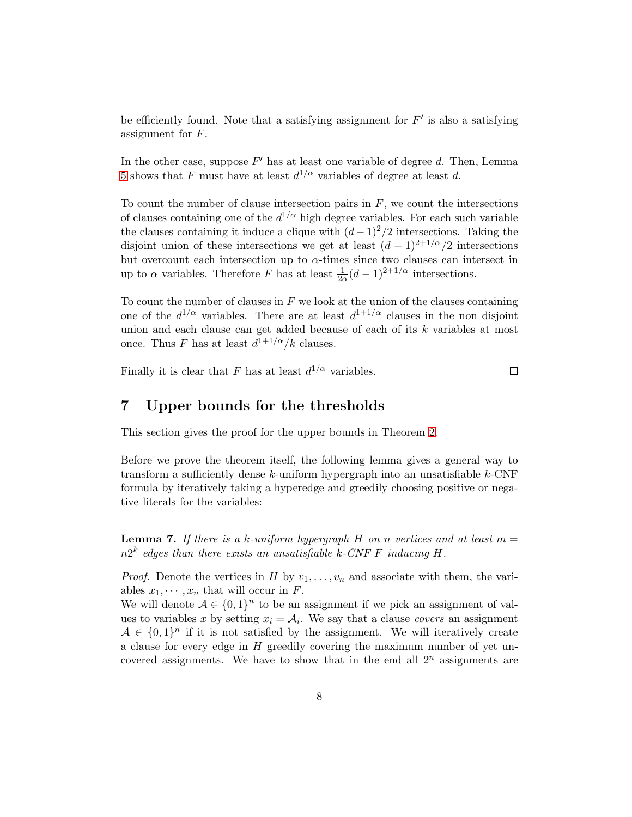be efficiently found. Note that a satisfying assignment for  $F'$  is also a satisfying assignment for F.

In the other case, suppose  $F'$  has at least one variable of degree d. Then, Lemma [5](#page-5-1) shows that F must have at least  $d^{1/\alpha}$  variables of degree at least d.

To count the number of clause intersection pairs in  $F$ , we count the intersections of clauses containing one of the  $d^{1/\alpha}$  high degree variables. For each such variable the clauses containing it induce a clique with  $(d-1)^2/2$  intersections. Taking the disjoint union of these intersections we get at least  $(d-1)^{2+1/\alpha}/2$  intersections but overcount each intersection up to  $\alpha$ -times since two clauses can intersect in up to  $\alpha$  variables. Therefore F has at least  $\frac{1}{2\alpha}(d-1)^{2+1/\alpha}$  intersections.

To count the number of clauses in  $F$  we look at the union of the clauses containing one of the  $d^{1/\alpha}$  variables. There are at least  $d^{1+1/\alpha}$  clauses in the non disjoint union and each clause can get added because of each of its k variables at most once. Thus F has at least  $d^{1+1/\alpha}/k$  clauses.

Finally it is clear that F has at least  $d^{1/\alpha}$  variables.

 $\Box$ 

### 7 Upper bounds for the thresholds

This section gives the proof for the upper bounds in Theorem [2.](#page-4-0)

Before we prove the theorem itself, the following lemma gives a general way to transform a sufficiently dense  $k$ -uniform hypergraph into an unsatisfiable  $k$ -CNF formula by iteratively taking a hyperedge and greedily choosing positive or negative literals for the variables:

<span id="page-7-0"></span>**Lemma 7.** If there is a k-uniform hypergraph H on n vertices and at least  $m =$  $n2^k$  edges than there exists an unsatisfiable k-CNF F inducing H.

*Proof.* Denote the vertices in H by  $v_1, \ldots, v_n$  and associate with them, the variables  $x_1, \dots, x_n$  that will occur in F.

We will denote  $A \in \{0,1\}^n$  to be an assignment if we pick an assignment of values to variables x by setting  $x_i = A_i$ . We say that a clause covers an assignment  $A \in \{0,1\}^n$  if it is not satisfied by the assignment. We will iteratively create a clause for every edge in H greedily covering the maximum number of yet uncovered assignments. We have to show that in the end all  $2^n$  assignments are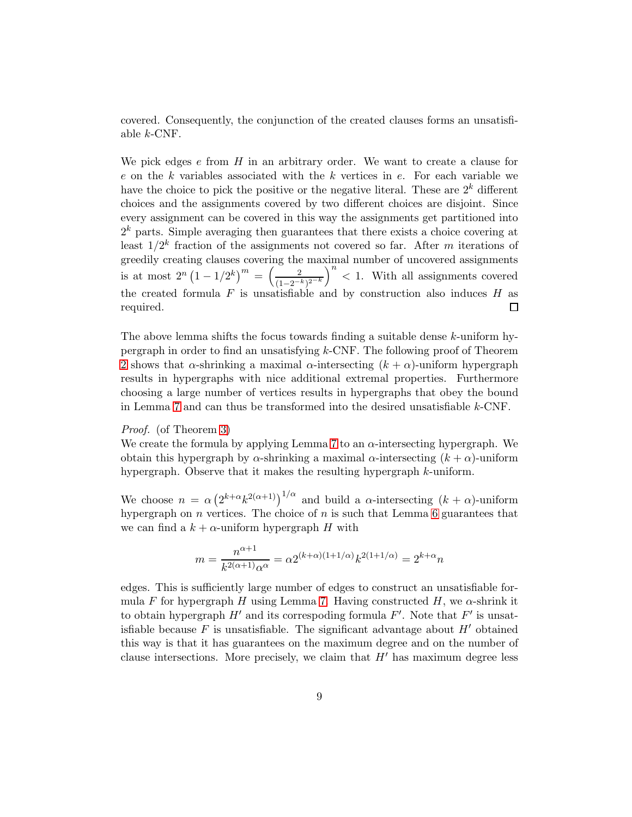covered. Consequently, the conjunction of the created clauses forms an unsatisfiable k-CNF.

We pick edges  $e$  from  $H$  in an arbitrary order. We want to create a clause for  $e$  on the  $k$  variables associated with the  $k$  vertices in  $e$ . For each variable we have the choice to pick the positive or the negative literal. These are  $2^k$  different choices and the assignments covered by two different choices are disjoint. Since every assignment can be covered in this way the assignments get partitioned into  $2<sup>k</sup>$  parts. Simple averaging then guarantees that there exists a choice covering at least  $1/2^k$  fraction of the assignments not covered so far. After m iterations of greedily creating clauses covering the maximal number of uncovered assignments  $\left(\frac{2}{(1-2^{-k})^{2^{-k}}}\right)^n < 1$ . With all assignments covered is at most  $2^{n}(1-1/2^{k})^{m} = \left(\frac{2}{(1-2n)^{k}}\right)^{m}$ the created formula  $F$  is unsatisfiable and by construction also induces  $H$  as  $\Box$ required.

The above lemma shifts the focus towards finding a suitable dense k-uniform hypergraph in order to find an unsatisfying k-CNF. The following proof of Theorem [2](#page-4-0) shows that  $\alpha$ -shrinking a maximal  $\alpha$ -intersecting  $(k + \alpha)$ -uniform hypergraph results in hypergraphs with nice additional extremal properties. Furthermore choosing a large number of vertices results in hypergraphs that obey the bound in Lemma [7](#page-7-0) and can thus be transformed into the desired unsatisfiable k-CNF.

#### Proof. (of Theorem [3\)](#page-4-1)

We create the formula by applying Lemma [7](#page-7-0) to an  $\alpha$ -intersecting hypergraph. We obtain this hypergraph by  $\alpha$ -shrinking a maximal  $\alpha$ -intersecting  $(k + \alpha)$ -uniform hypergraph. Observe that it makes the resulting hypergraph k-uniform.

We choose  $n = \alpha \left(2^{k+\alpha} k^{2(\alpha+1)}\right)^{1/\alpha}$  and build a  $\alpha$ -intersecting  $(k+\alpha)$ -uniform hypergraph on  $n$  vertices. The choice of  $n$  is such that Lemma [6](#page-6-0) guarantees that we can find a  $k + \alpha$ -uniform hypergraph H with

$$
m = \frac{n^{\alpha+1}}{k^{2(\alpha+1)}\alpha^{\alpha}} = \alpha 2^{(k+\alpha)(1+1/\alpha)} k^{2(1+1/\alpha)} = 2^{k+\alpha}n
$$

edges. This is sufficiently large number of edges to construct an unsatisfiable for-mula F for hypergraph H using Lemma [7.](#page-7-0) Having constructed H, we  $\alpha$ -shrink it to obtain hypergraph  $H'$  and its correspoding formula  $F'$ . Note that  $F'$  is unsatisfiable because  $F$  is unsatisfiable. The significant advantage about  $H'$  obtained this way is that it has guarantees on the maximum degree and on the number of clause intersections. More precisely, we claim that  $H'$  has maximum degree less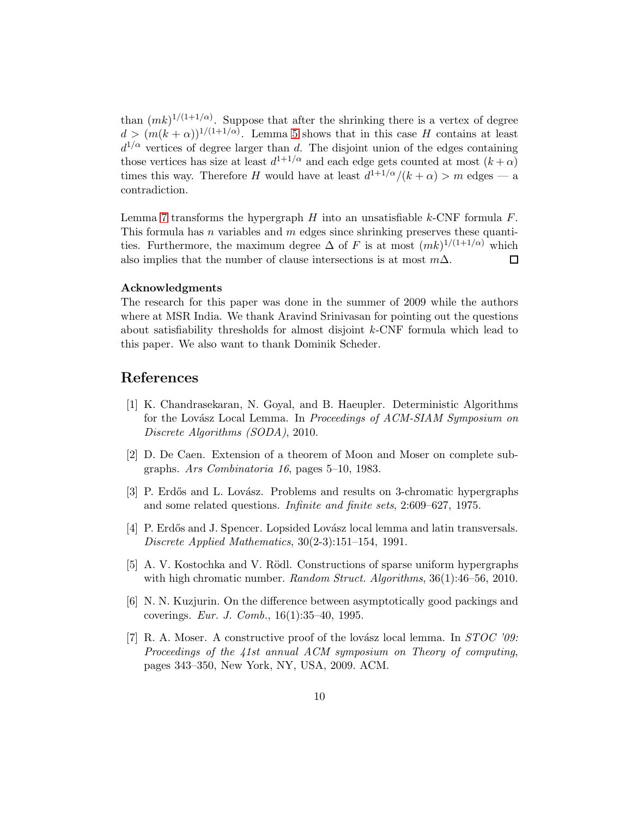than  $(mk)^{1/(1+1/\alpha)}$ . Suppose that after the shrinking there is a vertex of degree  $d > (m(k+\alpha))^{1/(1+1/\alpha)}$ . Lemma [5](#page-5-1) shows that in this case H contains at least  $d^{1/\alpha}$  vertices of degree larger than d. The disjoint union of the edges containing those vertices has size at least  $d^{1+1/\alpha}$  and each edge gets counted at most  $(k+\alpha)$ times this way. Therefore H would have at least  $d^{1+1/\alpha}/(k+\alpha) > m$  edges — a contradiction.

Lemma [7](#page-7-0) transforms the hypergraph  $H$  into an unsatisfiable k-CNF formula  $F$ . This formula has n variables and  $m$  edges since shrinking preserves these quantities. Furthermore, the maximum degree  $\Delta$  of F is at most  $(mk)^{1/(1+1/\alpha)}$  which also implies that the number of clause intersections is at most  $m\Delta$ .  $\Box$ 

#### Acknowledgments

The research for this paper was done in the summer of 2009 while the authors where at MSR India. We thank Aravind Srinivasan for pointing out the questions about satisfiability thresholds for almost disjoint k-CNF formula which lead to this paper. We also want to thank Dominik Scheder.

# <span id="page-9-5"></span>References

- [1] K. Chandrasekaran, N. Goyal, and B. Haeupler. Deterministic Algorithms for the Lovász Local Lemma. In Proceedings of ACM-SIAM Symposium on Discrete Algorithms (SODA), 2010.
- <span id="page-9-6"></span><span id="page-9-0"></span>[2] D. De Caen. Extension of a theorem of Moon and Moser on complete subgraphs. Ars Combinatoria 16, pages 5–10, 1983.
- <span id="page-9-3"></span>[3] P. Erdős and L. Lovász. Problems and results on 3-chromatic hypergraphs and some related questions. Infinite and finite sets, 2:609–627, 1975.
- [4] P. Erdős and J. Spencer. Lopsided Lovász local lemma and latin transversals. Discrete Applied Mathematics, 30(2-3):151–154, 1991.
- <span id="page-9-2"></span>[5] A. V. Kostochka and V. Rödl. Constructions of sparse uniform hypergraphs with high chromatic number. Random Struct. Algorithms, 36(1):46-56, 2010.
- <span id="page-9-1"></span>[6] N. N. Kuzjurin. On the difference between asymptotically good packings and coverings. Eur. J. Comb., 16(1):35–40, 1995.
- <span id="page-9-4"></span>[7] R. A. Moser. A constructive proof of the lovász local lemma. In  $STOC$  '09: Proceedings of the 41st annual ACM symposium on Theory of computing, pages 343–350, New York, NY, USA, 2009. ACM.